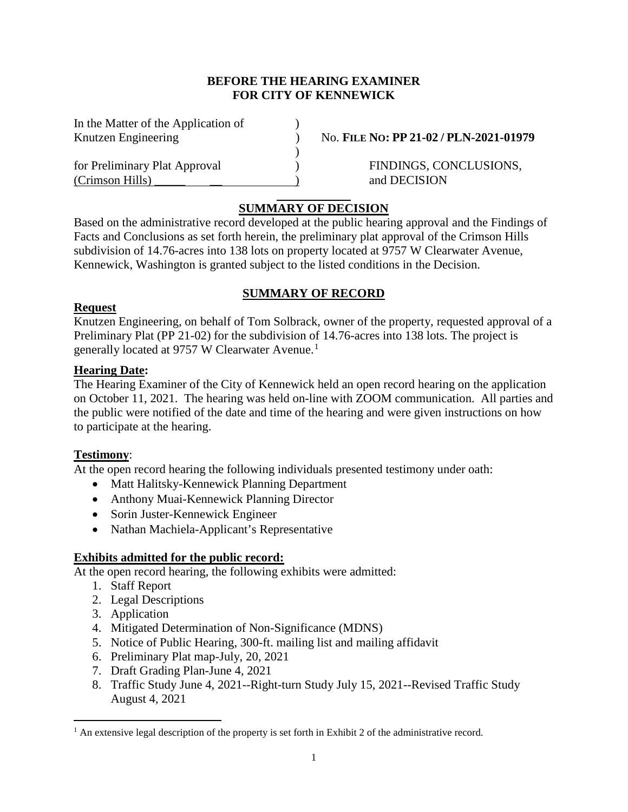#### **BEFORE THE HEARING EXAMINER FOR CITY OF KENNEWICK**

| In the Matter of the Application of |  |
|-------------------------------------|--|
| Knutzen Engineering                 |  |
|                                     |  |
| for Preliminary Plat Approval       |  |
| (Crimson Hills)                     |  |

 $N_{\text{o}}$ . **FILE No: PP 21-02 / PLN-2021-01979** 

eddie FINDINGS, CONCLUSIONS, and DECISION

## **SUMMARY OF DECISION**

 $\mathcal{L}$ 

Based on the administrative record developed at the public hearing approval and the Findings of Facts and Conclusions as set forth herein, the preliminary plat approval of the Crimson Hills subdivision of 14.76-acres into 138 lots on property located at 9757 W Clearwater Avenue, Kennewick, Washington is granted subject to the listed conditions in the Decision.

## **SUMMARY OF RECORD**

#### **Request**

Knutzen Engineering, on behalf of Tom Solbrack, owner of the property, requested approval of a Preliminary Plat (PP 21-02) for the subdivision of 14.76-acres into 138 lots. The project is generally located at 9757 W Clearwater Avenue.<sup>[1](#page-0-0)</sup>

#### **Hearing Date:**

The Hearing Examiner of the City of Kennewick held an open record hearing on the application on October 11, 2021. The hearing was held on-line with ZOOM communication. All parties and the public were notified of the date and time of the hearing and were given instructions on how to participate at the hearing.

## **Testimony**:

At the open record hearing the following individuals presented testimony under oath:

- Matt Halitsky-Kennewick Planning Department
- Anthony Muai-Kennewick Planning Director
- Sorin Juster-Kennewick Engineer
- Nathan Machiela-Applicant's Representative

## **Exhibits admitted for the public record:**

At the open record hearing, the following exhibits were admitted:

- 1. Staff Report
- 2. Legal Descriptions
- 3. Application
- 4. Mitigated Determination of Non-Significance (MDNS)
- 5. Notice of Public Hearing, 300-ft. mailing list and mailing affidavit
- 6. Preliminary Plat map-July, 20, 2021
- 7. Draft Grading Plan-June 4, 2021
- 8. Traffic Study June 4, 2021--Right-turn Study July 15, 2021--Revised Traffic Study August 4, 2021

<span id="page-0-0"></span> $<sup>1</sup>$  An extensive legal description of the property is set forth in Exhibit 2 of the administrative record.</sup>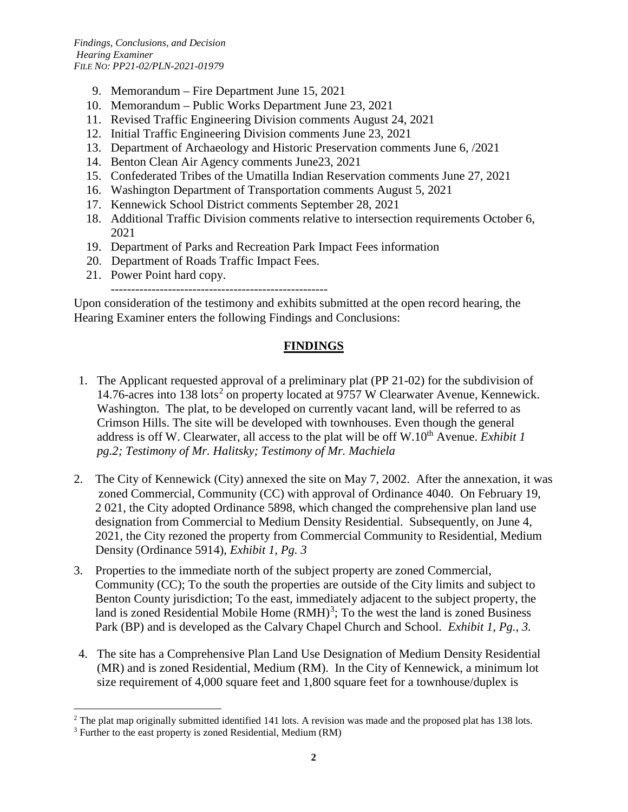- 9. Memorandum Fire Department June 15, 2021
- 10. Memorandum Public Works Department June 23, 2021
- 11. Revised Traffic Engineering Division comments August 24, 2021
- 12. Initial Traffic Engineering Division comments June 23, 2021
- 13. Department of Archaeology and Historic Preservation comments June 6, /2021
- 14. Benton Clean Air Agency comments June23, 2021
- 15. Confederated Tribes of the Umatilla Indian Reservation comments June 27, 2021
- 16. Washington Department of Transportation comments August 5, 2021
- 17. Kennewick School District comments September 28, 2021
- 18. Additional Traffic Division comments relative to intersection requirements October 6, 2021
- 19. Department of Parks and Recreation Park Impact Fees information
- 20. Department of Roads Traffic Impact Fees.
- 21. Power Point hard copy.

-----------------------------------------------------

Upon consideration of the testimony and exhibits submitted at the open record hearing, the Hearing Examiner enters the following Findings and Conclusions:

# **FINDINGS**

- 1. The Applicant requested approval of a preliminary plat (PP 21-02) for the subdivision of 14.76-acres into 138 lots<sup>[2](#page-1-0)</sup> on property located at 9757 W Clearwater Avenue, Kennewick. Washington. The plat, to be developed on currently vacant land, will be referred to as Crimson Hills. The site will be developed with townhouses. Even though the general address is off W. Clearwater, all access to the plat will be off W.10<sup>th</sup> Avenue. *Exhibit 1 pg.2; Testimony of Mr. Halitsky; Testimony of Mr. Machiela*
- 2. The City of Kennewick (City) annexed the site on May 7, 2002. After the annexation, it was zoned Commercial, Community (CC) with approval of Ordinance 4040. On February 19, 2 021, the City adopted Ordinance 5898, which changed the comprehensive plan land use designation from Commercial to Medium Density Residential. Subsequently, on June 4, 2021, the City rezoned the property from Commercial Community to Residential, Medium Density (Ordinance 5914), *Exhibit 1, Pg. 3*
- 3. Properties to the immediate north of the subject property are zoned Commercial, Community (CC); To the south the properties are outside of the City limits and subject to Benton County jurisdiction; To the east, immediately adjacent to the subject property, the land is zoned Residential Mobile Home  $(RMH)^3$  $(RMH)^3$ ; To the west the land is zoned Business Park (BP) and is developed as the Calvary Chapel Church and School. *Exhibit 1, Pg., 3.*
- 4. The site has a Comprehensive Plan Land Use Designation of Medium Density Residential (MR) and is zoned Residential, Medium (RM). In the City of Kennewick, a minimum lot size requirement of 4,000 square feet and 1,800 square feet for a townhouse/duplex is

<span id="page-1-0"></span><sup>&</sup>lt;sup>2</sup> The plat map originally submitted identified 141 lots. A revision was made and the proposed plat has 138 lots.

<span id="page-1-1"></span><sup>&</sup>lt;sup>3</sup> Further to the east property is zoned Residential, Medium (RM)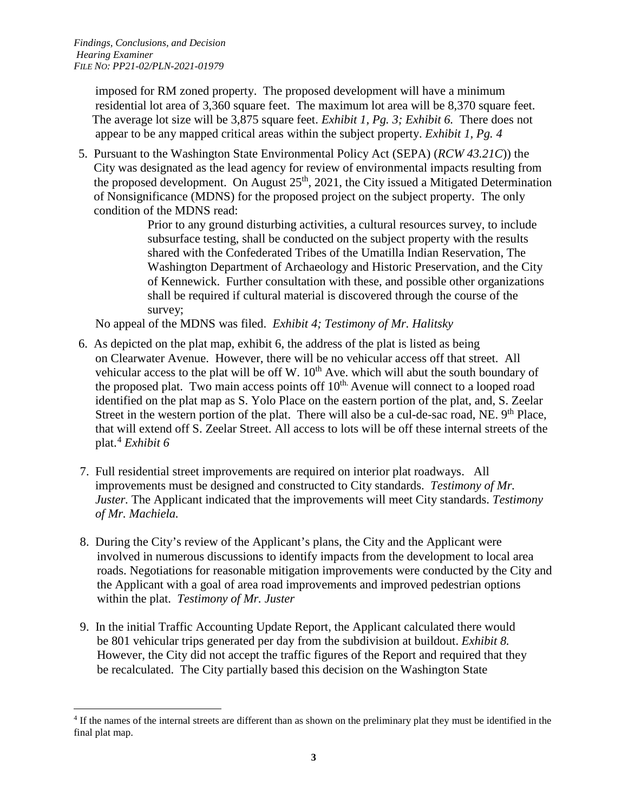imposed for RM zoned property. The proposed development will have a minimum residential lot area of 3,360 square feet. The maximum lot area will be 8,370 square feet. The average lot size will be 3,875 square feet. *Exhibit 1, Pg. 3; Exhibit 6.* There does not appear to be any mapped critical areas within the subject property. *Exhibit 1, Pg. 4*

5. Pursuant to the Washington State Environmental Policy Act (SEPA) (*RCW 43.21C*)) the City was designated as the lead agency for review of environmental impacts resulting from the proposed development. On August  $25<sup>th</sup>$ , 2021, the City issued a Mitigated Determination of Nonsignificance (MDNS) for the proposed project on the subject property. The only condition of the MDNS read:

> Prior to any ground disturbing activities, a cultural resources survey, to include subsurface testing, shall be conducted on the subject property with the results shared with the Confederated Tribes of the Umatilla Indian Reservation, The Washington Department of Archaeology and Historic Preservation, and the City of Kennewick. Further consultation with these, and possible other organizations shall be required if cultural material is discovered through the course of the survey;

No appeal of the MDNS was filed. *Exhibit 4; Testimony of Mr. Halitsky* 

- 6. As depicted on the plat map, exhibit 6, the address of the plat is listed as being on Clearwater Avenue. However, there will be no vehicular access off that street. All vehicular access to the plat will be off W.  $10<sup>th</sup>$  Ave. which will abut the south boundary of the proposed plat. Two main access points off  $10<sup>th</sup>$ . Avenue will connect to a looped road identified on the plat map as S. Yolo Place on the eastern portion of the plat, and, S. Zeelar Street in the western portion of the plat. There will also be a cul-de-sac road, NE. 9<sup>th</sup> Place, that will extend off S. Zeelar Street. All access to lots will be off these internal streets of the plat.[4](#page-2-0) *Exhibit 6*
- 7. Full residential street improvements are required on interior plat roadways. All improvements must be designed and constructed to City standards. *Testimony of Mr. Juster.* The Applicant indicated that the improvements will meet City standards. *Testimony of Mr. Machiela.*
- 8. During the City's review of the Applicant's plans, the City and the Applicant were involved in numerous discussions to identify impacts from the development to local area roads. Negotiations for reasonable mitigation improvements were conducted by the City and the Applicant with a goal of area road improvements and improved pedestrian options within the plat. *Testimony of Mr. Juster*
- 9. In the initial Traffic Accounting Update Report, the Applicant calculated there would be 801 vehicular trips generated per day from the subdivision at buildout. *Exhibit 8.*  However, the City did not accept the traffic figures of the Report and required that they be recalculated. The City partially based this decision on the Washington State

<span id="page-2-0"></span><sup>&</sup>lt;sup>4</sup> If the names of the internal streets are different than as shown on the preliminary plat they must be identified in the final plat map.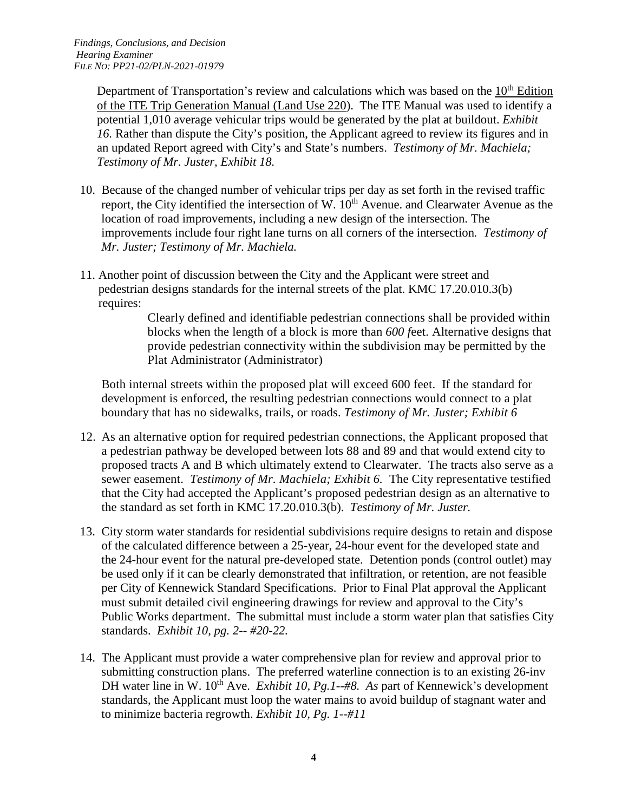Department of Transportation's review and calculations which was based on the  $10<sup>th</sup>$  Edition of the ITE Trip Generation Manual (Land Use 220). The ITE Manual was used to identify a potential 1,010 average vehicular trips would be generated by the plat at buildout. *Exhibit 16.* Rather than dispute the City's position, the Applicant agreed to review its figures and in an updated Report agreed with City's and State's numbers. *Testimony of Mr. Machiela; Testimony of Mr. Juster, Exhibit 18.*

- 10. Because of the changed number of vehicular trips per day as set forth in the revised traffic report, the City identified the intersection of W.  $10<sup>th</sup>$  Avenue. and Clearwater Avenue as the location of road improvements, including a new design of the intersection. The improvements include four right lane turns on all corners of the intersection*. Testimony of Mr. Juster; Testimony of Mr. Machiela.*
- 11. Another point of discussion between the City and the Applicant were street and pedestrian designs standards for the internal streets of the plat. KMC 17.20.010.3(b) requires:

Clearly defined and identifiable pedestrian connections shall be provided within blocks when the length of a block is more than *600 f*eet. Alternative designs that provide pedestrian connectivity within the subdivision may be permitted by the Plat Administrator (Administrator)

Both internal streets within the proposed plat will exceed 600 feet. If the standard for development is enforced, the resulting pedestrian connections would connect to a plat boundary that has no sidewalks, trails, or roads. *Testimony of Mr. Juster; Exhibit 6*

- 12. As an alternative option for required pedestrian connections, the Applicant proposed that a pedestrian pathway be developed between lots 88 and 89 and that would extend city to proposed tracts A and B which ultimately extend to Clearwater. The tracts also serve as a sewer easement. *Testimony of Mr. Machiela; Exhibit 6.* The City representative testified that the City had accepted the Applicant's proposed pedestrian design as an alternative to the standard as set forth in KMC 17.20.010.3(b). *Testimony of Mr. Juster.*
- 13. City storm water standards for residential subdivisions require designs to retain and dispose of the calculated difference between a 25-year, 24-hour event for the developed state and the 24-hour event for the natural pre-developed state. Detention ponds (control outlet) may be used only if it can be clearly demonstrated that infiltration, or retention, are not feasible per City of Kennewick Standard Specifications. Prior to Final Plat approval the Applicant must submit detailed civil engineering drawings for review and approval to the City's Public Works department. The submittal must include a storm water plan that satisfies City standards. *Exhibit 10, pg. 2-- #20-22.*
- 14. The Applicant must provide a water comprehensive plan for review and approval prior to submitting construction plans. The preferred waterline connection is to an existing 26-inv DH water line in W. 10<sup>th</sup> Ave. *Exhibit 10, Pg.1--#8. As part of Kennewick's development*  standards, the Applicant must loop the water mains to avoid buildup of stagnant water and to minimize bacteria regrowth. *Exhibit 10, Pg. 1--#11*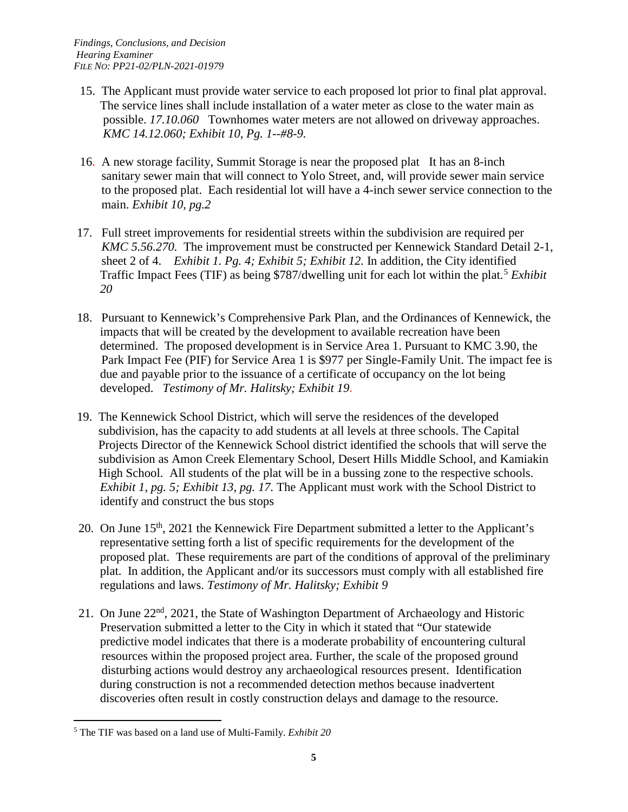- 15. The Applicant must provide water service to each proposed lot prior to final plat approval. The service lines shall include installation of a water meter as close to the water main as possible. *17.10.060* Townhomes water meters are not allowed on driveway approaches.  *KMC 14.12.060; Exhibit 10, Pg. 1--#8-9.*
- 16. A new storage facility, Summit Storage is near the proposed plat It has an 8-inch sanitary sewer main that will connect to Yolo Street, and, will provide sewer main service to the proposed plat. Each residential lot will have a 4-inch sewer service connection to the main. *Exhibit 10, pg.2*
- 17. Full street improvements for residential streets within the subdivision are required per *KMC 5.56.270.* The improvement must be constructed per Kennewick Standard Detail 2-1, sheet 2 of 4. *Exhibit 1. Pg. 4; Exhibit 5; Exhibit 12.* In addition, the City identified Traffic Impact Fees (TIF) as being \$787/dwelling unit for each lot within the plat.<sup>[5](#page-4-0)</sup> *Exhibit 20*
- 18. Pursuant to Kennewick's Comprehensive Park Plan, and the Ordinances of Kennewick, the impacts that will be created by the development to available recreation have been determined. The proposed development is in Service Area 1. Pursuant to KMC 3.90, the Park Impact Fee (PIF) for Service Area 1 is \$977 per Single-Family Unit. The impact fee is due and payable prior to the issuance of a certificate of occupancy on the lot being developed. *Testimony of Mr. Halitsky; Exhibit 19*.
- 19. The Kennewick School District, which will serve the residences of the developed subdivision, has the capacity to add students at all levels at three schools. The Capital Projects Director of the Kennewick School district identified the schools that will serve the subdivision as Amon Creek Elementary School, Desert Hills Middle School, and Kamiakin High School. All students of the plat will be in a bussing zone to the respective schools. *Exhibit 1, pg. 5; Exhibit 13, pg. 17.* The Applicant must work with the School District to identify and construct the bus stops
- 20. On June 15<sup>th</sup>, 2021 the Kennewick Fire Department submitted a letter to the Applicant's representative setting forth a list of specific requirements for the development of the proposed plat. These requirements are part of the conditions of approval of the preliminary plat. In addition, the Applicant and/or its successors must comply with all established fire regulations and laws. *Testimony of Mr. Halitsky; Exhibit 9*
- 21. On June 22nd, 2021, the State of Washington Department of Archaeology and Historic Preservation submitted a letter to the City in which it stated that "Our statewide predictive model indicates that there is a moderate probability of encountering cultural resources within the proposed project area. Further, the scale of the proposed ground disturbing actions would destroy any archaeological resources present. Identification during construction is not a recommended detection methos because inadvertent discoveries often result in costly construction delays and damage to the resource.

<span id="page-4-0"></span> <sup>5</sup> The TIF was based on a land use of Multi-Family. *Exhibit 20*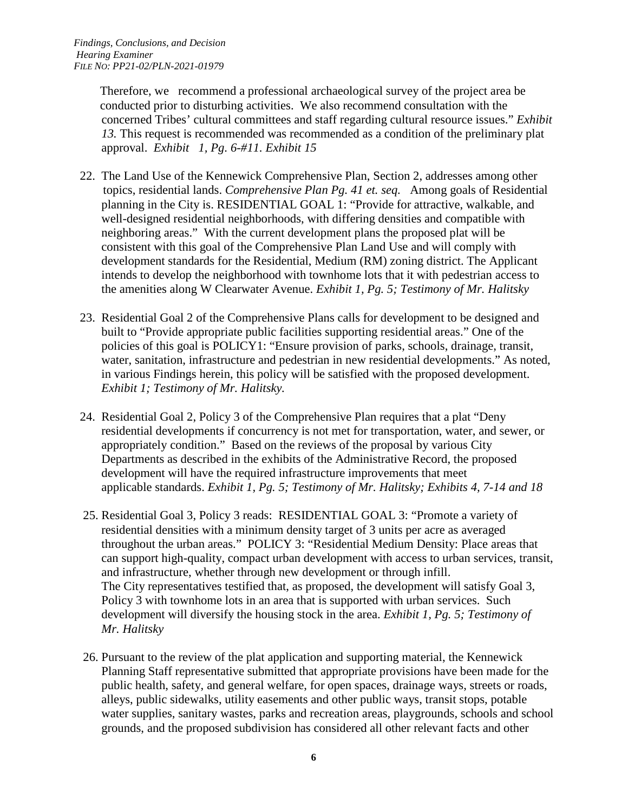Therefore, we recommend a professional archaeological survey of the project area be conducted prior to disturbing activities. We also recommend consultation with the concerned Tribes' cultural committees and staff regarding cultural resource issues." *Exhibit 13.* This request is recommended was recommended as a condition of the preliminary plat approval. *Exhibit 1, Pg. 6-#11. Exhibit 15*

- 22. The Land Use of the Kennewick Comprehensive Plan, Section 2, addresses among other topics, residential lands. *Comprehensive Plan Pg. 41 et. seq.* Among goals of Residential planning in the City is. RESIDENTIAL GOAL 1: "Provide for attractive, walkable, and well-designed residential neighborhoods, with differing densities and compatible with neighboring areas." With the current development plans the proposed plat will be consistent with this goal of the Comprehensive Plan Land Use and will comply with development standards for the Residential, Medium (RM) zoning district. The Applicant intends to develop the neighborhood with townhome lots that it with pedestrian access to the amenities along W Clearwater Avenue. *Exhibit 1, Pg. 5; Testimony of Mr. Halitsky*
- 23. Residential Goal 2 of the Comprehensive Plans calls for development to be designed and built to "Provide appropriate public facilities supporting residential areas." One of the policies of this goal is POLICY1: "Ensure provision of parks, schools, drainage, transit, water, sanitation, infrastructure and pedestrian in new residential developments." As noted, in various Findings herein, this policy will be satisfied with the proposed development. *Exhibit 1; Testimony of Mr. Halitsky.*
- 24. Residential Goal 2, Policy 3 of the Comprehensive Plan requires that a plat "Deny residential developments if concurrency is not met for transportation, water, and sewer, or appropriately condition." Based on the reviews of the proposal by various City Departments as described in the exhibits of the Administrative Record, the proposed development will have the required infrastructure improvements that meet applicable standards. *Exhibit 1, Pg. 5; Testimony of Mr. Halitsky; Exhibits 4, 7-14 and 18*
- 25. Residential Goal 3, Policy 3 reads: RESIDENTIAL GOAL 3: "Promote a variety of residential densities with a minimum density target of 3 units per acre as averaged throughout the urban areas." POLICY 3: "Residential Medium Density: Place areas that can support high-quality, compact urban development with access to urban services, transit, and infrastructure, whether through new development or through infill. The City representatives testified that, as proposed, the development will satisfy Goal 3, Policy 3 with townhome lots in an area that is supported with urban services. Such development will diversify the housing stock in the area. *Exhibit 1, Pg. 5; Testimony of Mr. Halitsky*
- 26. Pursuant to the review of the plat application and supporting material, the Kennewick Planning Staff representative submitted that appropriate provisions have been made for the public health, safety, and general welfare, for open spaces, drainage ways, streets or roads, alleys, public sidewalks, utility easements and other public ways, transit stops, potable water supplies, sanitary wastes, parks and recreation areas, playgrounds, schools and school grounds, and the proposed subdivision has considered all other relevant facts and other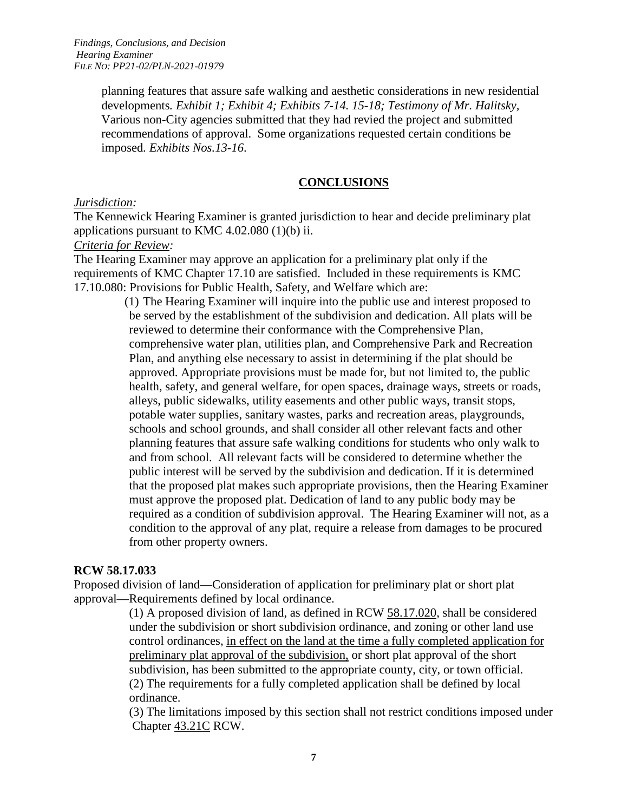*Findings, Conclusions, and Decision Hearing Examiner FILE NO: PP21-02/PLN-2021-01979*

> planning features that assure safe walking and aesthetic considerations in new residential developments*. Exhibit 1; Exhibit 4; Exhibits 7-14. 15-18; Testimony of Mr. Halitsky,* Various non-City agencies submitted that they had revied the project and submitted recommendations of approval. Some organizations requested certain conditions be imposed*. Exhibits Nos.13-16*.

#### **CONCLUSIONS**

#### *Jurisdiction:*

The Kennewick Hearing Examiner is granted jurisdiction to hear and decide preliminary plat applications pursuant to KMC 4.02.080 (1)(b) ii.

#### *Criteria for Review:*

The Hearing Examiner may approve an application for a preliminary plat only if the requirements of KMC Chapter 17.10 are satisfied. Included in these requirements is KMC 17.10.080: Provisions for Public Health, Safety, and Welfare which are:

> (1) The Hearing Examiner will inquire into the public use and interest proposed to be served by the establishment of the subdivision and dedication. All plats will be reviewed to determine their conformance with the Comprehensive Plan, comprehensive water plan, utilities plan, and Comprehensive Park and Recreation Plan, and anything else necessary to assist in determining if the plat should be approved. Appropriate provisions must be made for, but not limited to, the public health, safety, and general welfare, for open spaces, drainage ways, streets or roads, alleys, public sidewalks, utility easements and other public ways, transit stops, potable water supplies, sanitary wastes, parks and recreation areas, playgrounds, schools and school grounds, and shall consider all other relevant facts and other planning features that assure safe walking conditions for students who only walk to and from school. All relevant facts will be considered to determine whether the public interest will be served by the subdivision and dedication. If it is determined that the proposed plat makes such appropriate provisions, then the Hearing Examiner must approve the proposed plat. Dedication of land to any public body may be required as a condition of subdivision approval. The Hearing Examiner will not, as a condition to the approval of any plat, require a release from damages to be procured from other property owners.

#### **RCW 58.17.033**

Proposed division of land—Consideration of application for preliminary plat or short plat approval—Requirements defined by local ordinance.

> (1) A proposed division of land, as defined in RCW [58.17.020,](http://app.leg.wa.gov/RCW/default.aspx?cite=58.17.020) shall be considered under the subdivision or short subdivision ordinance, and zoning or other land use control ordinances, in effect on the land at the time a fully completed application for preliminary plat approval of the subdivision, or short plat approval of the short subdivision, has been submitted to the appropriate county, city, or town official. (2) The requirements for a fully completed application shall be defined by local ordinance.

(3) The limitations imposed by this section shall not restrict conditions imposed under Chapter [43.21C](http://app.leg.wa.gov/RCW/default.aspx?cite=43.21C) RCW.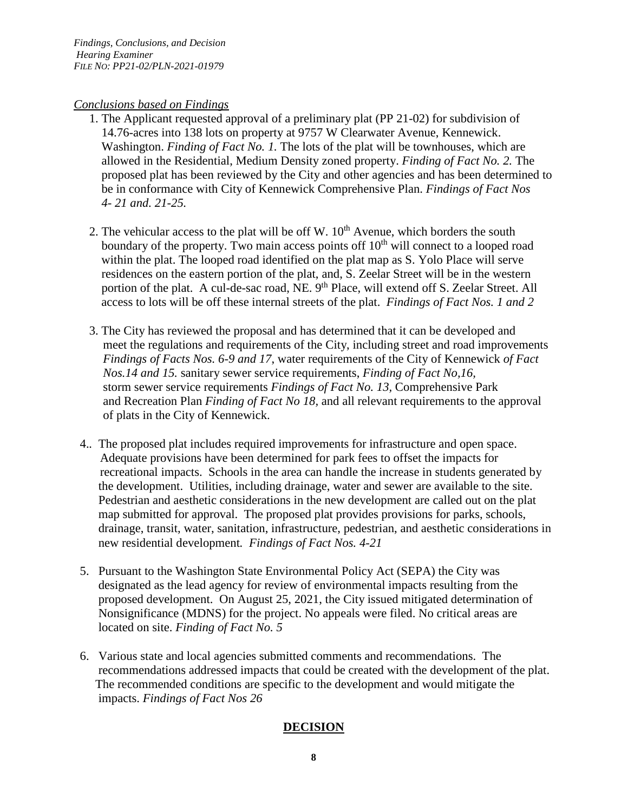#### *Conclusions based on Findings*

- 1. The Applicant requested approval of a preliminary plat (PP 21-02) for subdivision of 14.76-acres into 138 lots on property at 9757 W Clearwater Avenue, Kennewick. Washington. *Finding of Fact No. 1*. The lots of the plat will be townhouses, which are allowed in the Residential, Medium Density zoned property. *Finding of Fact No. 2.* The proposed plat has been reviewed by the City and other agencies and has been determined to be in conformance with City of Kennewick Comprehensive Plan. *Findings of Fact Nos 4- 21 and. 21-25.*
- 2. The vehicular access to the plat will be off W.  $10<sup>th</sup>$  Avenue, which borders the south boundary of the property. Two main access points of  $10<sup>th</sup>$  will connect to a looped road within the plat. The looped road identified on the plat map as S. Yolo Place will serve residences on the eastern portion of the plat, and, S. Zeelar Street will be in the western portion of the plat. A cul-de-sac road, NE. 9<sup>th</sup> Place, will extend off S. Zeelar Street. All access to lots will be off these internal streets of the plat. *Findings of Fact Nos. 1 and 2*
- 3. The City has reviewed the proposal and has determined that it can be developed and meet the regulations and requirements of the City, including street and road improvements *Findings of Facts Nos. 6-9 and 17*, water requirements of the City of Kennewick *of Fact Nos.14 and 15.* sanitary sewer service requirements, *Finding of Fact No,16,* storm sewer service requirements *Findings of Fact No. 13,* Comprehensive Park and Recreation Plan *Finding of Fact No 18,* and all relevant requirements to the approval of plats in the City of Kennewick.
- 4.*.* The proposed plat includes required improvements for infrastructure and open space. Adequate provisions have been determined for park fees to offset the impacts for recreational impacts. Schools in the area can handle the increase in students generated by the development. Utilities, including drainage, water and sewer are available to the site. Pedestrian and aesthetic considerations in the new development are called out on the plat map submitted for approval. The proposed plat provides provisions for parks, schools, drainage, transit, water, sanitation, infrastructure, pedestrian, and aesthetic considerations in new residential development*. Findings of Fact Nos. 4-21*
- 5. Pursuant to the Washington State Environmental Policy Act (SEPA) the City was designated as the lead agency for review of environmental impacts resulting from the proposed development. On August 25, 2021, the City issued mitigated determination of Nonsignificance (MDNS) for the project. No appeals were filed. No critical areas are located on site. *Finding of Fact No. 5*
- 6. Various state and local agencies submitted comments and recommendations. The recommendations addressed impacts that could be created with the development of the plat. The recommended conditions are specific to the development and would mitigate the impacts. *Findings of Fact Nos 26*

# **DECISION**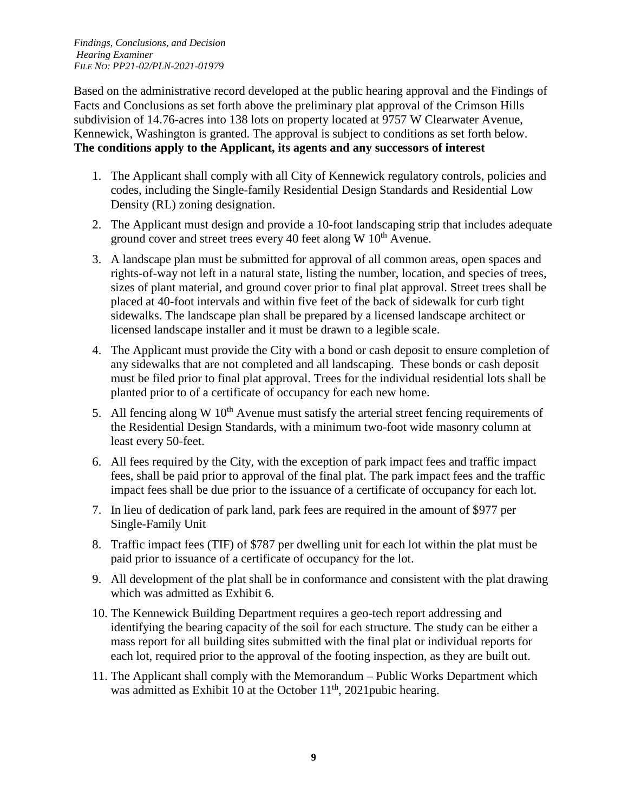*Findings, Conclusions, and Decision Hearing Examiner FILE NO: PP21-02/PLN-2021-01979*

Based on the administrative record developed at the public hearing approval and the Findings of Facts and Conclusions as set forth above the preliminary plat approval of the Crimson Hills subdivision of 14.76-acres into 138 lots on property located at 9757 W Clearwater Avenue, Kennewick, Washington is granted. The approval is subject to conditions as set forth below. **The conditions apply to the Applicant, its agents and any successors of interest** 

- 1. The Applicant shall comply with all City of Kennewick regulatory controls, policies and codes, including the Single-family Residential Design Standards and Residential Low Density (RL) zoning designation.
- 2. The Applicant must design and provide a 10-foot landscaping strip that includes adequate ground cover and street trees every 40 feet along W  $10<sup>th</sup>$  Avenue.
- 3. A landscape plan must be submitted for approval of all common areas, open spaces and rights-of-way not left in a natural state, listing the number, location, and species of trees, sizes of plant material, and ground cover prior to final plat approval. Street trees shall be placed at 40-foot intervals and within five feet of the back of sidewalk for curb tight sidewalks. The landscape plan shall be prepared by a licensed landscape architect or licensed landscape installer and it must be drawn to a legible scale.
- 4. The Applicant must provide the City with a bond or cash deposit to ensure completion of any sidewalks that are not completed and all landscaping. These bonds or cash deposit must be filed prior to final plat approval. Trees for the individual residential lots shall be planted prior to of a certificate of occupancy for each new home.
- 5. All fencing along W  $10<sup>th</sup>$  Avenue must satisfy the arterial street fencing requirements of the Residential Design Standards, with a minimum two-foot wide masonry column at least every 50-feet.
- 6. All fees required by the City, with the exception of park impact fees and traffic impact fees, shall be paid prior to approval of the final plat. The park impact fees and the traffic impact fees shall be due prior to the issuance of a certificate of occupancy for each lot.
- 7. In lieu of dedication of park land, park fees are required in the amount of \$977 per Single-Family Unit
- 8. Traffic impact fees (TIF) of \$787 per dwelling unit for each lot within the plat must be paid prior to issuance of a certificate of occupancy for the lot.
- 9. All development of the plat shall be in conformance and consistent with the plat drawing which was admitted as Exhibit 6.
- 10. The Kennewick Building Department requires a geo-tech report addressing and identifying the bearing capacity of the soil for each structure. The study can be either a mass report for all building sites submitted with the final plat or individual reports for each lot, required prior to the approval of the footing inspection, as they are built out.
- 11. The Applicant shall comply with the Memorandum Public Works Department which was admitted as Exhibit 10 at the October 11<sup>th</sup>, 2021pubic hearing.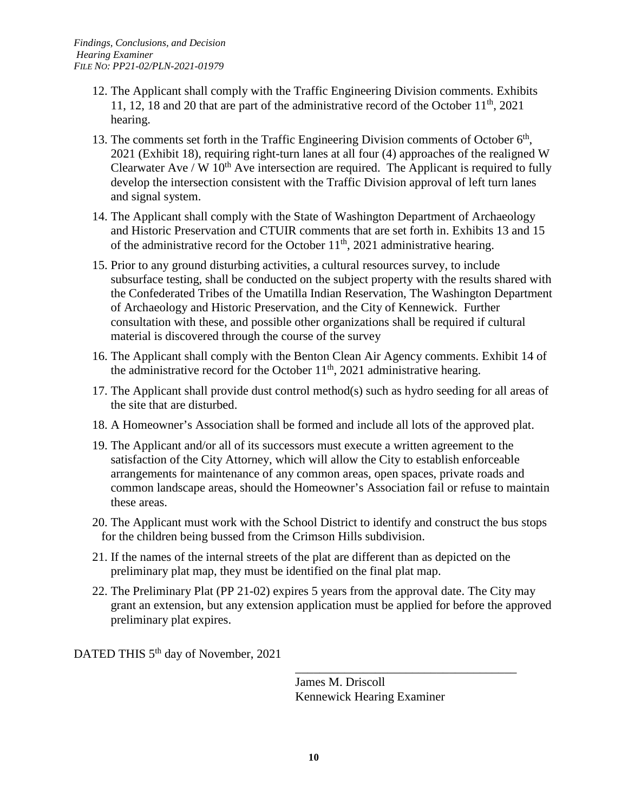- 12. The Applicant shall comply with the Traffic Engineering Division comments. Exhibits 11, 12, 18 and 20 that are part of the administrative record of the October  $11<sup>th</sup>$ , 2021 hearing.
- 13. The comments set forth in the Traffic Engineering Division comments of October  $6<sup>th</sup>$ , 2021 (Exhibit 18), requiring right-turn lanes at all four (4) approaches of the realigned W Clearwater Ave / W  $10<sup>th</sup>$  Ave intersection are required. The Applicant is required to fully develop the intersection consistent with the Traffic Division approval of left turn lanes and signal system.
- 14. The Applicant shall comply with the State of Washington Department of Archaeology and Historic Preservation and CTUIR comments that are set forth in. Exhibits 13 and 15 of the administrative record for the October  $11<sup>th</sup>$ , 2021 administrative hearing.
- 15. Prior to any ground disturbing activities, a cultural resources survey, to include subsurface testing, shall be conducted on the subject property with the results shared with the Confederated Tribes of the Umatilla Indian Reservation, The Washington Department of Archaeology and Historic Preservation, and the City of Kennewick. Further consultation with these, and possible other organizations shall be required if cultural material is discovered through the course of the survey
- 16. The Applicant shall comply with the Benton Clean Air Agency comments. Exhibit 14 of the administrative record for the October  $11<sup>th</sup>$ , 2021 administrative hearing.
- 17. The Applicant shall provide dust control method(s) such as hydro seeding for all areas of the site that are disturbed.
- 18. A Homeowner's Association shall be formed and include all lots of the approved plat.
- 19. The Applicant and/or all of its successors must execute a written agreement to the satisfaction of the City Attorney, which will allow the City to establish enforceable arrangements for maintenance of any common areas, open spaces, private roads and common landscape areas, should the Homeowner's Association fail or refuse to maintain these areas.
- 20. The Applicant must work with the School District to identify and construct the bus stops for the children being bussed from the Crimson Hills subdivision.
- 21. If the names of the internal streets of the plat are different than as depicted on the preliminary plat map, they must be identified on the final plat map.
- 22. The Preliminary Plat (PP 21-02) expires 5 years from the approval date. The City may grant an extension, but any extension application must be applied for before the approved preliminary plat expires.

DATED THIS 5<sup>th</sup> day of November, 2021

James M. Driscoll Kennewick Hearing Examiner

\_\_\_\_\_\_\_\_\_\_\_\_\_\_\_\_\_\_\_\_\_\_\_\_\_\_\_\_\_\_\_\_\_\_\_\_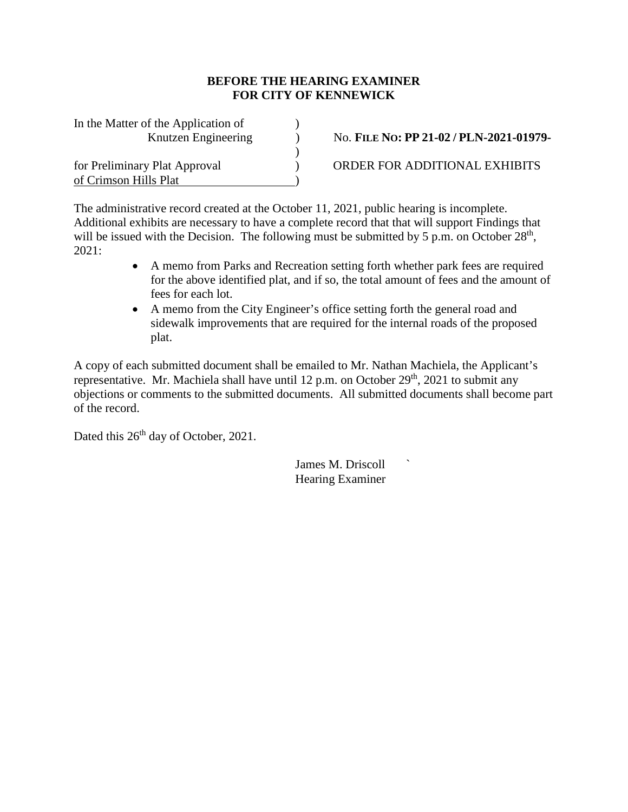#### **BEFORE THE HEARING EXAMINER FOR CITY OF KENNEWICK**

| In the Matter of the Application of |  |
|-------------------------------------|--|
| Knutzen Engineering                 |  |
|                                     |  |
| for Preliminary Plat Approval       |  |
| of Crimson Hills Plat               |  |

No. **FILE NO: PP** 21-02 / PLN-2021-01979-

ORDER FOR ADDITIONAL EXHIBITS

The administrative record created at the October 11, 2021, public hearing is incomplete. Additional exhibits are necessary to have a complete record that that will support Findings that will be issued with the Decision. The following must be submitted by 5 p.m. on October  $28<sup>th</sup>$ , 2021:

- A memo from Parks and Recreation setting forth whether park fees are required for the above identified plat, and if so, the total amount of fees and the amount of fees for each lot.
- A memo from the City Engineer's office setting forth the general road and sidewalk improvements that are required for the internal roads of the proposed plat.

A copy of each submitted document shall be emailed to Mr. Nathan Machiela, the Applicant's representative. Mr. Machiela shall have until 12 p.m. on October  $29<sup>th</sup>$ , 2021 to submit any objections or comments to the submitted documents. All submitted documents shall become part of the record.

Dated this  $26<sup>th</sup>$  day of October, 2021.

James M. Driscoll ` Hearing Examiner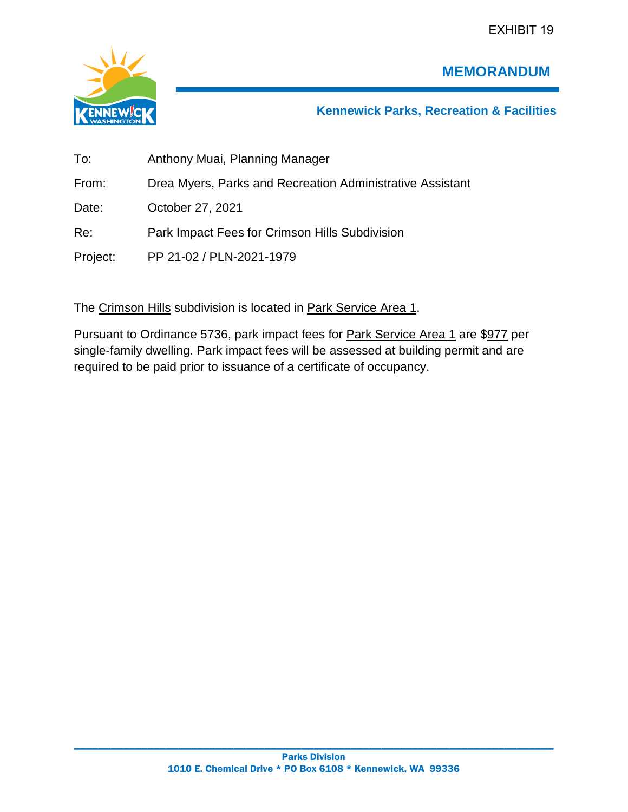EXHIBIT 19



# **MEMORANDUM**

**Kennewick Parks, Recreation & Facilities**

| To:      | Anthony Muai, Planning Manager                            |
|----------|-----------------------------------------------------------|
| From:    | Drea Myers, Parks and Recreation Administrative Assistant |
| Date:    | October 27, 2021                                          |
| Re:      | Park Impact Fees for Crimson Hills Subdivision            |
| Project: | PP 21-02 / PLN-2021-1979                                  |

The Crimson Hills subdivision is located in Park Service Area 1.

Pursuant to Ordinance 5736, park impact fees for Park Service Area 1 are \$977 per single-family dwelling. Park impact fees will be assessed at building permit and are required to be paid prior to issuance of a certificate of occupancy.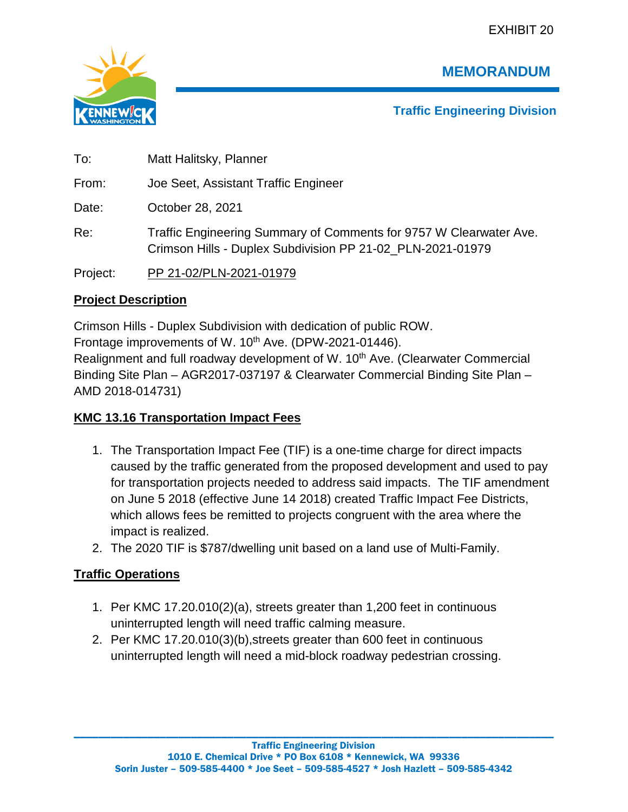EXHIBIT 20



**MEMORANDUM**

**Traffic Engineering Division**

To: Matt Halitsky, Planner From: Joe Seet, Assistant Traffic Engineer Date: October 28, 2021 Re: Traffic Engineering Summary of Comments for 9757 W Clearwater Ave. Crimson Hills - Duplex Subdivision PP 21-02\_PLN-2021-01979 Project: PP 21-02/PLN-2021-01979

# **Project Description**

Crimson Hills - Duplex Subdivision with dedication of public ROW. Frontage improvements of W. 10<sup>th</sup> Ave. (DPW-2021-01446). Realignment and full roadway development of W. 10<sup>th</sup> Ave. (Clearwater Commercial Binding Site Plan – AGR2017-037197 & Clearwater Commercial Binding Site Plan – AMD 2018-014731)

# **KMC 13.16 Transportation Impact Fees**

- 1. The Transportation Impact Fee (TIF) is a one-time charge for direct impacts caused by the traffic generated from the proposed development and used to pay for transportation projects needed to address said impacts. The TIF amendment on June 5 2018 (effective June 14 2018) created Traffic Impact Fee Districts, which allows fees be remitted to projects congruent with the area where the impact is realized.
- 2. The 2020 TIF is \$787/dwelling unit based on a land use of Multi-Family.

# **Traffic Operations**

- 1. Per KMC 17.20.010(2)(a), streets greater than 1,200 feet in continuous uninterrupted length will need traffic calming measure.
- 2. Per KMC 17.20.010(3)(b),streets greater than 600 feet in continuous uninterrupted length will need a mid-block roadway pedestrian crossing.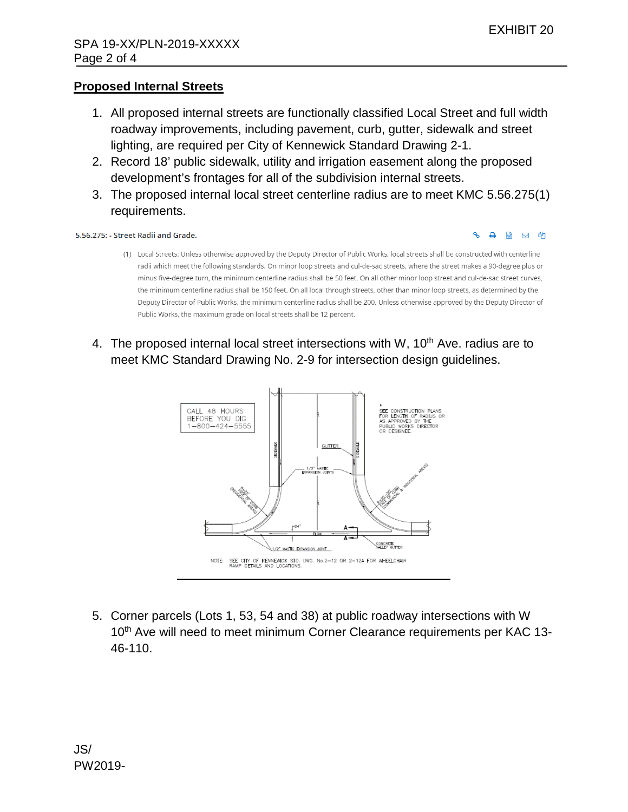## **Proposed Internal Streets**

- 1. All proposed internal streets are functionally classified Local Street and full width roadway improvements, including pavement, curb, gutter, sidewalk and street lighting, are required per City of Kennewick Standard Drawing 2-1.
- 2. Record 18' public sidewalk, utility and irrigation easement along the proposed development's frontages for all of the subdivision internal streets.
- 3. The proposed internal local street centerline radius are to meet KMC 5.56.275(1) requirements.

#### 5.56.275: - Street Radii and Grade.

#### Д  $\mathbf{w}$ **M** Ch

- (1) Local Streets: Unless otherwise approved by the Deputy Director of Public Works, local streets shall be constructed with centerline radii which meet the following standards. On minor loop streets and cul-de-sac streets, where the street makes a 90-degree plus or minus five-degree turn, the minimum centerline radius shall be 50 feet. On all other minor loop street and cul-de-sac street curves, the minimum centerline radius shall be 150 feet. On all local through streets, other than minor loop streets, as determined by the Deputy Director of Public Works, the minimum centerline radius shall be 200. Unless otherwise approved by the Deputy Director of Public Works, the maximum grade on local streets shall be 12 percent.
- 4. The proposed internal local street intersections with W,  $10<sup>th</sup>$  Ave. radius are to meet KMC Standard Drawing No. 2-9 for intersection design guidelines.



5. Corner parcels (Lots 1, 53, 54 and 38) at public roadway intersections with W 10<sup>th</sup> Ave will need to meet minimum Corner Clearance requirements per KAC 13-46-110.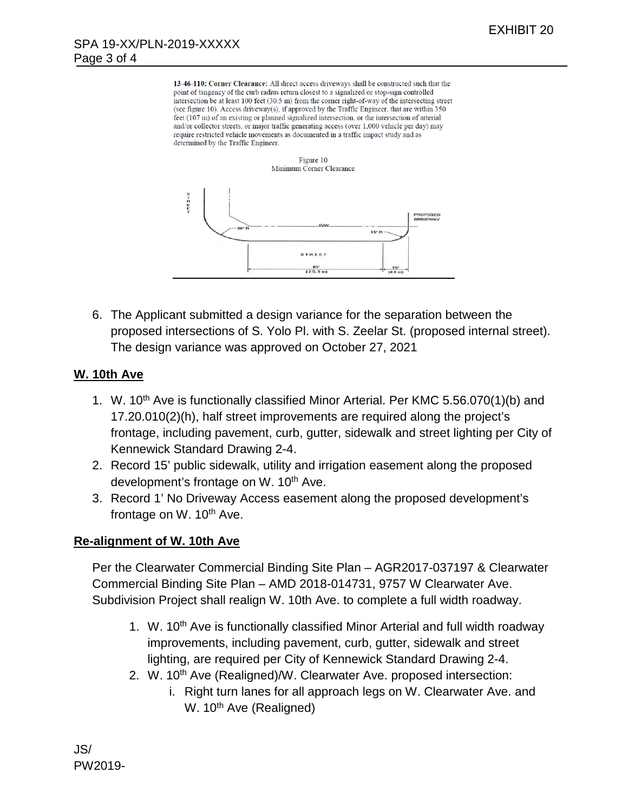13-46-110: Corner Clearance: All direct access driveways shall be constructed such that the point of tangency of the curb radius return closest to a signalized or stop-sign controlled intersection be at least 100 feet (30.5 m) from the corner right-of-way of the intersecting street (see figure 10). Access driveway(s), if approved by the Traffic Engineer, that are within 350 feet (107 m) of an existing or planned signalized intersection, or the intersection of arterial and/or collector streets, or major traffic generating access (over 1,000 vehicle per day) may require restricted vehicle movements as documented in a traffic impact study and as determined by the Traffic Engineer.



6. The Applicant submitted a design variance for the separation between the proposed intersections of S. Yolo Pl. with S. Zeelar St. (proposed internal street). The design variance was approved on October 27, 2021

## **W. 10th Ave**

- 1. W. 10<sup>th</sup> Ave is functionally classified Minor Arterial. Per KMC 5.56.070(1)(b) and 17.20.010(2)(h), half street improvements are required along the project's frontage, including pavement, curb, gutter, sidewalk and street lighting per City of Kennewick Standard Drawing 2-4.
- 2. Record 15' public sidewalk, utility and irrigation easement along the proposed development's frontage on W. 10<sup>th</sup> Ave.
- 3. Record 1' No Driveway Access easement along the proposed development's frontage on  $W$ . 10<sup>th</sup> Ave.

# **Re-alignment of W. 10th Ave**

Per the Clearwater Commercial Binding Site Plan – AGR2017-037197 & Clearwater Commercial Binding Site Plan – AMD 2018-014731, 9757 W Clearwater Ave. Subdivision Project shall realign W. 10th Ave. to complete a full width roadway.

- 1. W. 10<sup>th</sup> Ave is functionally classified Minor Arterial and full width roadway improvements, including pavement, curb, gutter, sidewalk and street lighting, are required per City of Kennewick Standard Drawing 2-4.
- 2. W. 10<sup>th</sup> Ave (Realigned)/W. Clearwater Ave. proposed intersection:
	- i. Right turn lanes for all approach legs on W. Clearwater Ave. and W. 10<sup>th</sup> Ave (Realigned)

JS/ PW2019-